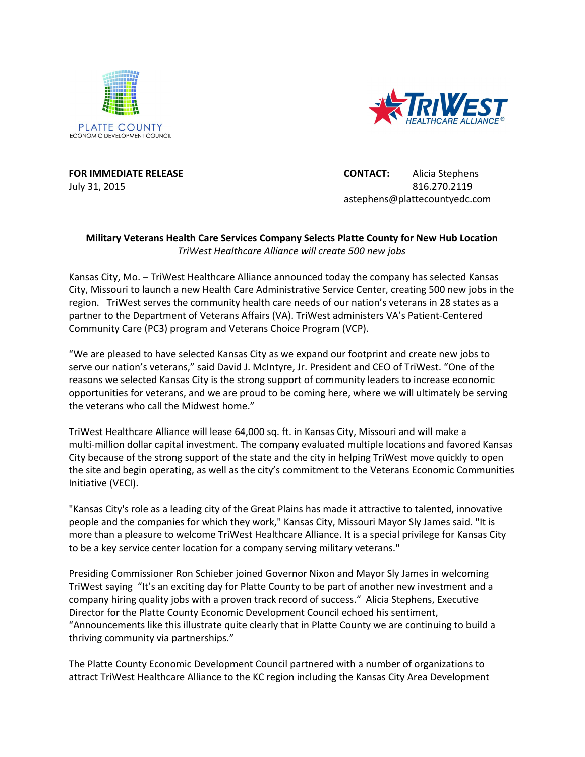



**FOR IMMEDIATE RELEASE CONTACT:** Alicia Stephens July 31, 2015 816.270.2119 astephens@plattecountyedc.com

## **Military Veterans Health Care Services Company Selects Platte County for New Hub Location** *TriWest Healthcare Alliance will create 500 new jobs*

Kansas City, Mo. – TriWest Healthcare Alliance announced today the company has selected Kansas City, Missouri to launch a new Health Care Administrative Service Center, creating 500 new jobs in the region. TriWest serves the community health care needs of our nation's veterans in 28 states as a partner to the Department of Veterans Affairs (VA). TriWest administers VA's Patient-Centered Community Care (PC3) program and Veterans Choice Program (VCP).

"We are pleased to have selected Kansas City as we expand our footprint and create new jobs to serve our nation's veterans," said David J. McIntyre, Jr. President and CEO of TriWest. "One of the reasons we selected Kansas City is the strong support of community leaders to increase economic opportunities for veterans, and we are proud to be coming here, where we will ultimately be serving the veterans who call the Midwest home."

TriWest Healthcare Alliance will lease 64,000 sq. ft. in Kansas City, Missouri and will make a multi-million dollar capital investment. The company evaluated multiple locations and favored Kansas City because of the strong support of the state and the city in helping TriWest move quickly to open the site and begin operating, as well as the city's commitment to the Veterans Economic Communities Initiative (VECI).

"Kansas City's role as a leading city of the Great Plains has made it attractive to talented, innovative people and the companies for which they work," Kansas City, Missouri Mayor Sly James said. "It is more than a pleasure to welcome TriWest Healthcare Alliance. It is a special privilege for Kansas City to be a key service center location for a company serving military veterans."

Presiding Commissioner Ron Schieber joined Governor Nixon and Mayor Sly James in welcoming TriWest saying "It's an exciting day for Platte County to be part of another new investment and a company hiring quality jobs with a proven track record of success." Alicia Stephens, Executive Director for the Platte County Economic Development Council echoed his sentiment, "Announcements like this illustrate quite clearly that in Platte County we are continuing to build a thriving community via partnerships."

The Platte County Economic Development Council partnered with a number of organizations to attract TriWest Healthcare Alliance to the KC region including the Kansas City Area Development